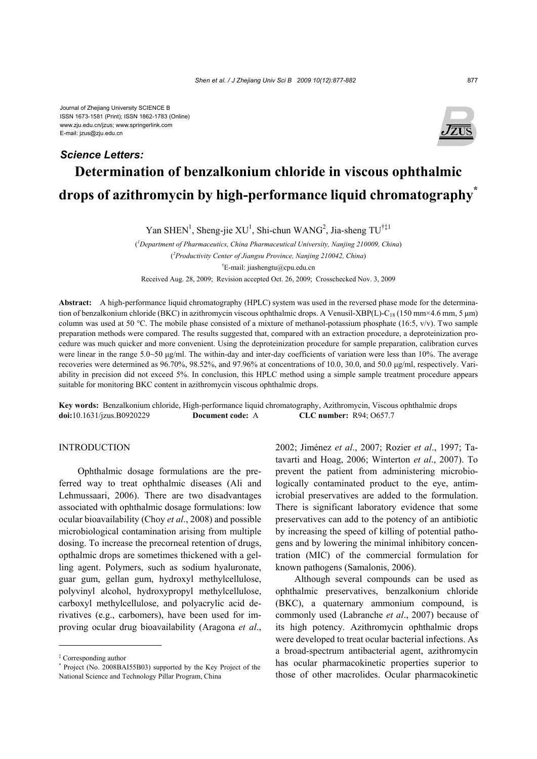# **Determination of benzalkonium chloride in viscous ophthalmic drops of azithromycin by high-performance liquid chromatography\*** *Science Letters:*

Yan SHEN<sup>1</sup>, Sheng-jie XU<sup>1</sup>, Shi-chun WANG<sup>2</sup>, Jia-sheng TU<sup>†‡1</sup>

( *1 Department of Pharmaceutics, China Pharmaceutical University, Nanjing 210009, China*) ( *2 Productivity Center of Jiangsu Province, Nanjing 210042, China*) † E-mail: jiashengtu@cpu.edu.cn Received Aug. 28, 2009; Revision accepted Oct. 26, 2009; Crosschecked Nov. 3, 2009

**Abstract:** A high-performance liquid chromatography (HPLC) system was used in the reversed phase mode for the determination of benzalkonium chloride (BKC) in azithromycin viscous ophthalmic drops. A Venusil-XBP(L)-C<sub>18</sub> (150 mm×4.6 mm, 5 µm) column was used at 50 °C. The mobile phase consisted of a mixture of methanol-potassium phosphate (16:5,  $v/v$ ). Two sample preparation methods were compared. The results suggested that, compared with an extraction procedure, a deproteinization procedure was much quicker and more convenient. Using the deproteinization procedure for sample preparation, calibration curves were linear in the range 5.0~50 μg/ml. The within-day and inter-day coefficients of variation were less than 10%. The average recoveries were determined as 96.70%, 98.52%, and 97.96% at concentrations of 10.0, 30.0, and 50.0 μg/ml, respectively. Variability in precision did not exceed 5%. In conclusion, this HPLC method using a simple sample treatment procedure appears suitable for monitoring BKC content in azithromycin viscous ophthalmic drops.

**Key words:** Benzalkonium chloride, High-performance liquid chromatography, Azithromycin, Viscous ophthalmic drops **doi:**10.1631/jzus.B0920229 **Document code:** A **CLC number:** R94; O657.7

# INTRODUCTION

Ophthalmic dosage formulations are the preferred way to treat ophthalmic diseases (Ali and Lehmussaari, 2006). There are two disadvantages associated with ophthalmic dosage formulations: low ocular bioavailability (Choy *et al*., 2008) and possible microbiological contamination arising from multiple dosing. To increase the precorneal retention of drugs, opthalmic drops are sometimes thickened with a gelling agent. Polymers, such as sodium hyaluronate, guar gum, gellan gum, hydroxyl methylcellulose, polyvinyl alcohol, hydroxypropyl methylcellulose, carboxyl methylcellulose, and polyacrylic acid derivatives (e.g., carbomers), have been used for improving ocular drug bioavailability (Aragona *et al*.,

2002; Jiménez *et al*., 2007; Rozier *et al*., 1997; Tatavarti and Hoag, 2006; Winterton *et al*., 2007). To prevent the patient from administering microbiologically contaminated product to the eye, antimicrobial preservatives are added to the formulation. There is significant laboratory evidence that some preservatives can add to the potency of an antibiotic by increasing the speed of killing of potential pathogens and by lowering the minimal inhibitory concentration (MIC) of the commercial formulation for known pathogens (Samalonis, 2006).

Although several compounds can be used as ophthalmic preservatives, benzalkonium chloride (BKC), a quaternary ammonium compound, is commonly used (Labranche *et al*., 2007) because of its high potency. Azithromycin ophthalmic drops were developed to treat ocular bacterial infections. As a broad-spectrum antibacterial agent, azithromycin has ocular pharmacokinetic properties superior to those of other macrolides. Ocular pharmacokinetic



<sup>‡</sup> Corresponding author

<sup>\*</sup> Project (No. 2008BAI55B03) supported by the Key Project of the National Science and Technology Pillar Program, China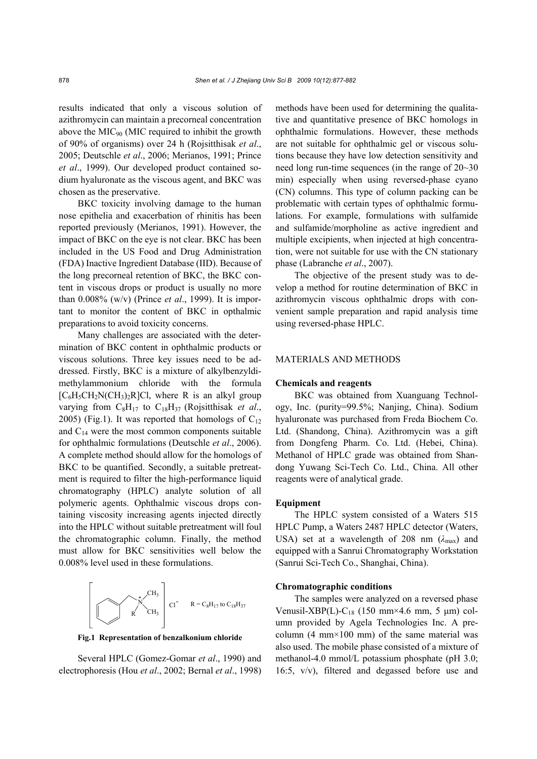results indicated that only a viscous solution of azithromycin can maintain a precorneal concentration above the  $MIC<sub>90</sub> (MIC required to inhibit the growth)$ of 90% of organisms) over 24 h (Rojsitthisak *et al*., 2005; Deutschle *et al*., 2006; Merianos, 1991; Prince *et al*., 1999). Our developed product contained sodium hyaluronate as the viscous agent, and BKC was chosen as the preservative.

BKC toxicity involving damage to the human nose epithelia and exacerbation of rhinitis has been reported previously (Merianos, 1991). However, the impact of BKC on the eye is not clear. BKC has been included in the US Food and Drug Administration (FDA) Inactive Ingredient Database (IID). Because of the long precorneal retention of BKC, the BKC content in viscous drops or product is usually no more than 0.008% (w/v) (Prince *et al*., 1999). It is important to monitor the content of BKC in opthalmic preparations to avoid toxicity concerns.

Many challenges are associated with the determination of BKC content in ophthalmic products or viscous solutions. Three key issues need to be addressed. Firstly, BKC is a mixture of alkylbenzyldimethylammonium chloride with the formula  $[C_6H_5CH_2N(CH_3)_2R]Cl$ , where R is an alkyl group varying from C8H17 to C18H37 (Rojsitthisak *et al*., 2005) (Fig.1). It was reported that homologs of  $C_{12}$ and  $C_{14}$  were the most common components suitable for ophthalmic formulations (Deutschle *et al*., 2006). A complete method should allow for the homologs of BKC to be quantified. Secondly, a suitable pretreatment is required to filter the high-performance liquid chromatography (HPLC) analyte solution of all polymeric agents. Ophthalmic viscous drops containing viscosity increasing agents injected directly into the HPLC without suitable pretreatment will foul the chromatographic column. Finally, the method must allow for BKC sensitivities well below the 0.008% level used in these formulations.



**Fig.1 Representation of benzalkonium chloride**

Several HPLC (Gomez-Gomar *et al*., 1990) and electrophoresis (Hou *et al*., 2002; Bernal *et al*., 1998) methods have been used for determining the qualitative and quantitative presence of BKC homologs in ophthalmic formulations. However, these methods are not suitable for ophthalmic gel or viscous solutions because they have low detection sensitivity and need long run-time sequences (in the range of 20~30 min) especially when using reversed-phase cyano (CN) columns. This type of column packing can be problematic with certain types of ophthalmic formulations. For example, formulations with sulfamide and sulfamide/morpholine as active ingredient and multiple excipients, when injected at high concentration, were not suitable for use with the CN stationary phase (Labranche *et al*., 2007).

The objective of the present study was to develop a method for routine determination of BKC in azithromycin viscous ophthalmic drops with convenient sample preparation and rapid analysis time using reversed-phase HPLC.

# MATERIALS AND METHODS

#### **Chemicals and reagents**

BKC was obtained from Xuanguang Technology, Inc. (purity=99.5%; Nanjing, China). Sodium hyaluronate was purchased from Freda Biochem Co. Ltd. (Shandong, China). Azithromycin was a gift from Dongfeng Pharm. Co. Ltd. (Hebei, China). Methanol of HPLC grade was obtained from Shandong Yuwang Sci-Tech Co. Ltd., China. All other reagents were of analytical grade.

#### **Equipment**

The HPLC system consisted of a Waters 515 HPLC Pump, a Waters 2487 HPLC detector (Waters, USA) set at a wavelength of 208 nm  $(\lambda_{\text{max}})$  and equipped with a Sanrui Chromatography Workstation (Sanrui Sci-Tech Co., Shanghai, China).

## **Chromatographic conditions**

The samples were analyzed on a reversed phase Venusil-XBP(L)-C<sub>18</sub> (150 mm×4.6 mm, 5 µm) column provided by Agela Technologies Inc. A precolumn  $(4 \text{ mm} \times 100 \text{ mm})$  of the same material was also used. The mobile phase consisted of a mixture of methanol-4.0 mmol/L potassium phosphate (pH 3.0; 16:5, v/v), filtered and degassed before use and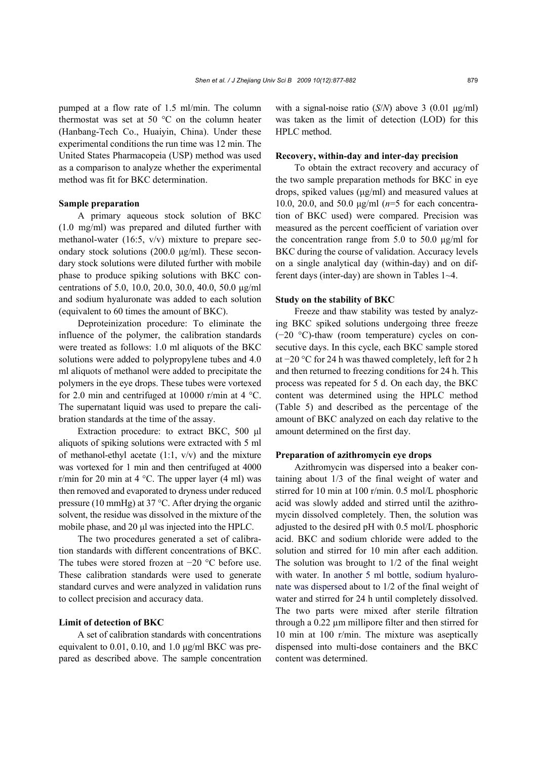pumped at a flow rate of 1.5 ml/min. The column thermostat was set at 50 °C on the column heater (Hanbang-Tech Co., Huaiyin, China). Under these experimental conditions the run time was 12 min. The United States Pharmacopeia (USP) method was used as a comparison to analyze whether the experimental method was fit for BKC determination.

### **Sample preparation**

A primary aqueous stock solution of BKC (1.0 mg/ml) was prepared and diluted further with methanol-water (16:5, v/v) mixture to prepare secondary stock solutions (200.0 μg/ml). These secondary stock solutions were diluted further with mobile phase to produce spiking solutions with BKC concentrations of 5.0, 10.0, 20.0, 30.0, 40.0, 50.0 μg/ml and sodium hyaluronate was added to each solution (equivalent to 60 times the amount of BKC).

Deproteinization procedure: To eliminate the influence of the polymer, the calibration standards were treated as follows: 1.0 ml aliquots of the BKC solutions were added to polypropylene tubes and 4.0 ml aliquots of methanol were added to precipitate the polymers in the eye drops. These tubes were vortexed for 2.0 min and centrifuged at 10000 r/min at 4  $^{\circ}$ C. The supernatant liquid was used to prepare the calibration standards at the time of the assay.

Extraction procedure: to extract BKC, 500 μl aliquots of spiking solutions were extracted with 5 ml of methanol-ethyl acetate  $(1:1, v/v)$  and the mixture was vortexed for 1 min and then centrifuged at 4000 r/min for 20 min at 4  $^{\circ}$ C. The upper layer (4 ml) was then removed and evaporated to dryness under reduced pressure (10 mmHg) at 37 °C. After drying the organic solvent, the residue was dissolved in the mixture of the mobile phase, and 20 μl was injected into the HPLC.

The two procedures generated a set of calibration standards with different concentrations of BKC. The tubes were stored frozen at −20 °C before use. These calibration standards were used to generate standard curves and were analyzed in validation runs to collect precision and accuracy data.

# **Limit of detection of BKC**

A set of calibration standards with concentrations equivalent to 0.01, 0.10, and 1.0 μg/ml BKC was prepared as described above. The sample concentration with a signal-noise ratio (*S*/*N*) above 3 (0.01 μg/ml) was taken as the limit of detection (LOD) for this HPLC method.

#### **Recovery, within-day and inter-day precision**

To obtain the extract recovery and accuracy of the two sample preparation methods for BKC in eye drops, spiked values (μg/ml) and measured values at 10.0, 20.0, and 50.0 μg/ml (*n*=5 for each concentration of BKC used) were compared. Precision was measured as the percent coefficient of variation over the concentration range from 5.0 to 50.0 μg/ml for BKC during the course of validation. Accuracy levels on a single analytical day (within-day) and on different days (inter-day) are shown in Tables 1~4.

## **Study on the stability of BKC**

Freeze and thaw stability was tested by analyzing BKC spiked solutions undergoing three freeze (−20 °C)-thaw (room temperature) cycles on consecutive days. In this cycle, each BKC sample stored at −20 °C for 24 h was thawed completely, left for 2 h and then returned to freezing conditions for 24 h. This process was repeated for 5 d. On each day, the BKC content was determined using the HPLC method (Table 5) and described as the percentage of the amount of BKC analyzed on each day relative to the amount determined on the first day.

## **Preparation of azithromycin eye drops**

Azithromycin was dispersed into a beaker containing about 1/3 of the final weight of water and stirred for 10 min at 100 r/min. 0.5 mol/L phosphoric acid was slowly added and stirred until the azithromycin dissolved completely. Then, the solution was adjusted to the desired pH with 0.5 mol/L phosphoric acid. BKC and sodium chloride were added to the solution and stirred for 10 min after each addition. The solution was brought to 1/2 of the final weight with water. In another 5 ml bottle, sodium hyaluronate was dispersed about to 1/2 of the final weight of water and stirred for 24 h until completely dissolved. The two parts were mixed after sterile filtration through a 0.22 µm millipore filter and then stirred for 10 min at 100 r/min. The mixture was aseptically dispensed into multi-dose containers and the BKC content was determined.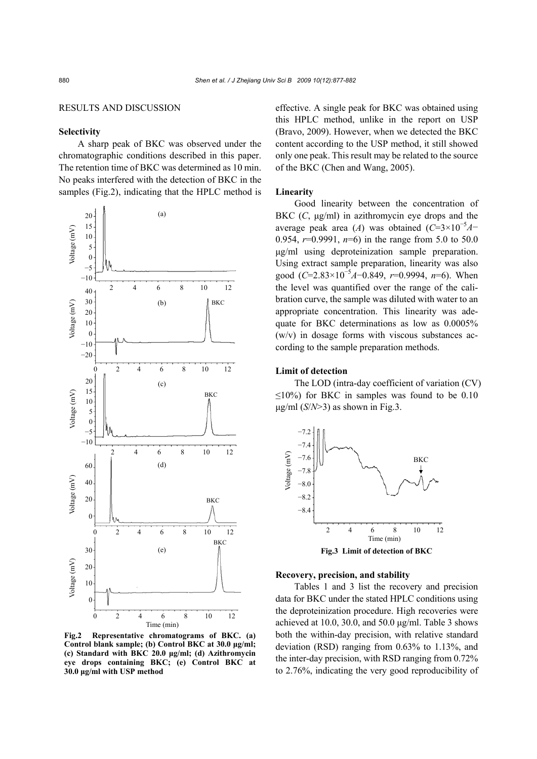## RESULTS AND DISCUSSION

# **Selectivity**

A sharp peak of BKC was observed under the chromatographic conditions described in this paper. The retention time of BKC was determined as 10 min. No peaks interfered with the detection of BKC in the samples (Fig.2), indicating that the HPLC method is



**Fig.2 Representative chromatograms of BKC. (a) Control blank sample; (b) Control BKC at 30.0 μg/ml; (c) Standard with BKC 20.0 μg/ml; (d) Azithromycin eye drops containing BKC; (e) Control BKC at 30.0 μg/ml with USP method**

effective. A single peak for BKC was obtained using this HPLC method, unlike in the report on USP (Bravo, 2009). However, when we detected the BKC content according to the USP method, it still showed only one peak. This result may be related to the source of the BKC (Chen and Wang, 2005).

## **Linearity**

Good linearity between the concentration of BKC (*C*, μg/ml) in azithromycin eye drops and the average peak area (*A*) was obtained  $(C=3\times10^{-5}A-$ 0.954,  $r=0.9991$ ,  $n=6$ ) in the range from 5.0 to 50.0 μg/ml using deproteinization sample preparation. Using extract sample preparation, linearity was also good (*C*=2.83×10<sup>-5</sup>A-0.849, *r*=0.9994, *n*=6). When the level was quantified over the range of the calibration curve, the sample was diluted with water to an appropriate concentration. This linearity was adequate for BKC determinations as low as 0.0005%  $(w/v)$  in dosage forms with viscous substances according to the sample preparation methods.

### **Limit of detection**

The LOD (intra-day coefficient of variation (CV)  $\leq$ 10%) for BKC in samples was found to be 0.10  $\mu$ g/ml (*S*/*N*>3) as shown in Fig.3.



#### **Recovery, precision, and stability**

Tables 1 and 3 list the recovery and precision data for BKC under the stated HPLC conditions using the deproteinization procedure. High recoveries were achieved at 10.0, 30.0, and 50.0 μg/ml. Table 3 shows both the within-day precision, with relative standard deviation (RSD) ranging from 0.63% to 1.13%, and the inter-day precision, with RSD ranging from 0.72% to 2.76%, indicating the very good reproducibility of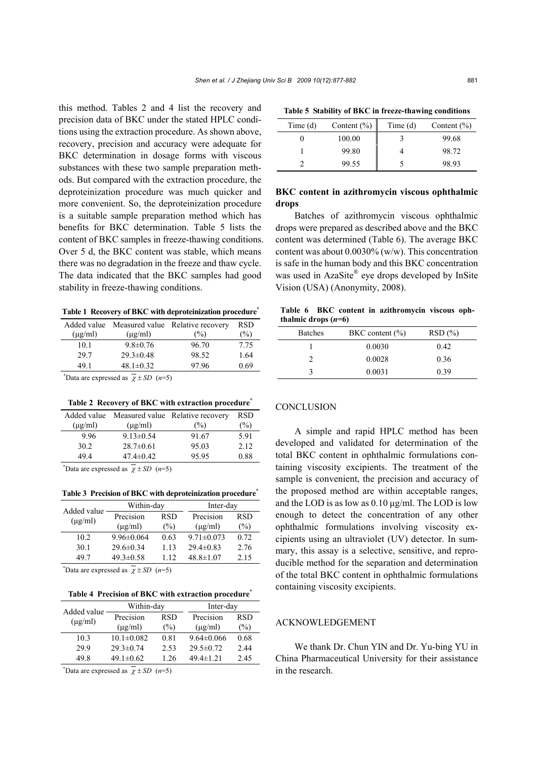this method. Tables 2 and 4 list the recovery and precision data of BKC under the stated HPLC conditions using the extraction procedure. As shown above, recovery, precision and accuracy were adequate for BKC determination in dosage forms with viscous substances with these two sample preparation methods. But compared with the extraction procedure, the deproteinization procedure was much quicker and more convenient. So, the deproteinization procedure is a suitable sample preparation method which has benefits for BKC determination. Table 5 lists the content of BKC samples in freeze-thawing conditions. Over 5 d, the BKC content was stable, which means there was no degradation in the freeze and thaw cycle. The data indicated that the BKC samples had good stability in freeze-thawing conditions.

**Table 1 Recovery of BKC with deproteinization procedure\***

|              |                 | Added value Measured value Relative recovery | RSD  |
|--------------|-----------------|----------------------------------------------|------|
| $(\mu g/ml)$ | $(\mu g/ml)$    | (%)                                          | (%)  |
| 10.1         | $9.8 \pm 0.76$  | 96.70                                        | 7.75 |
| 29.7         | $29.3 \pm 0.48$ | 98.52                                        | 1.64 |
| 491          | 48.1 $\pm$ 0.32 | 97.96                                        | 0.69 |
|              |                 |                                              |      |

\*Data are expressed as  $\overline{\chi}$  ± *SD* (*n*=5)

#### **Table 2 Recovery of BKC with extraction procedure\***

|              |                 | Added value Measured value Relative recovery | <b>RSD</b> |
|--------------|-----------------|----------------------------------------------|------------|
| $(\mu$ g/ml) | $(\mu$ g/ml)    | (%)                                          | (%)        |
| 996          | $9.13 \pm 0.54$ | 91.67                                        | 5.91       |
| 30.2         | $28.7 \pm 0.61$ | 95.03                                        | 2.12       |
| 494          | $47.4 \pm 0.42$ | 9595                                         | 0.88       |
|              |                 |                                              |            |

\*Data are expressed as  $\bar{\chi} \pm SD$  (*n*=5)

#### **Table 3 Precision of BKC with deproteinization procedure\***

| Added value  | Within-day                |                   | Inter-day                 |                      |
|--------------|---------------------------|-------------------|---------------------------|----------------------|
| $(\mu g/ml)$ | Precision<br>$(\mu g/ml)$ | <b>RSD</b><br>(%) | Precision<br>$(\mu$ g/ml) | <b>RSD</b><br>$(\%)$ |
| 10.2         | $9.96 \pm 0.064$          | 0.63              | $9.71 \pm 0.073$          | 0.72                 |
| 30.1         | $29.6 \pm 0.34$           | 1 1 3             | $29.4\pm 0.83$            | 2.76                 |
| 497          | $49.3 \pm 0.58$           | 1 12              | $48.8 \pm 1.07$           | 2.15                 |
|              |                           |                   |                           |                      |

\*Data are expressed as  $\overline{\chi}$  ± *SD* (*n*=5)

**Table 4 Precision of BKC with extraction procedure\***

|                             | Within-day                |                   | Inter-day                 |                      |
|-----------------------------|---------------------------|-------------------|---------------------------|----------------------|
| Added value<br>$(\mu$ g/ml) | Precision<br>$(\mu$ g/ml) | <b>RSD</b><br>(%) | Precision<br>$(\mu$ g/ml) | <b>RSD</b><br>$(\%)$ |
| 103                         | $10.1 \pm 0.082$          | 0.81              | $9.64 \pm 0.066$          | 0.68                 |
| 29.9                        | $29.3 \pm 0.74$           | 2.53              | $29.5 \pm 0.72$           | 2.44                 |
| 49 8                        | 49.1 $\pm 0.62$           | 1 26              | $49.4 \pm 1.21$           | 2.45                 |

\*Data are expressed as  $\overline{\chi}$  ± *SD* (*n*=5)

|  | Table 5 Stability of BKC in freeze-thawing conditions |  |
|--|-------------------------------------------------------|--|
|  |                                                       |  |

| Time $(d)$ | Content $(\% )$ | Time $(d)$ | Content $(\% )$ |
|------------|-----------------|------------|-----------------|
|            | 100.00          |            | 99.68           |
|            | 99.80           |            | 98.72           |
|            | 99.55           |            | 98.93           |

# **BKC content in azithromycin viscous ophthalmic drops**

Batches of azithromycin viscous ophthalmic drops were prepared as described above and the BKC content was determined (Table 6). The average BKC content was about 0.0030% (w/w). This concentration is safe in the human body and this BKC concentration was used in AzaSite® eye drops developed by InSite Vision (USA) (Anonymity, 2008).

**Table 6 BKC content in azithromycin viscous ophthalmic drops (***n***=6)** 

| <b>Batches</b> | $BKC$ content $(\% )$ | RSD(%) |
|----------------|-----------------------|--------|
|                | 0.0030                | 0.42   |
| າ              | 0.0028                | 0.36   |
| ζ              | 0.0031                | 0.39   |

#### **CONCLUSION**

A simple and rapid HPLC method has been developed and validated for determination of the total BKC content in ophthalmic formulations containing viscosity excipients. The treatment of the sample is convenient, the precision and accuracy of the proposed method are within acceptable ranges, and the LOD is as low as 0.10 μg/ml. The LOD is low enough to detect the concentration of any other ophthalmic formulations involving viscosity excipients using an ultraviolet (UV) detector. In summary, this assay is a selective, sensitive, and reproducible method for the separation and determination of the total BKC content in ophthalmic formulations containing viscosity excipients.

# ACKNOWLEDGEMENT

We thank Dr. Chun YIN and Dr. Yu-bing YU in China Pharmaceutical University for their assistance in the research.